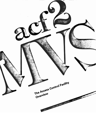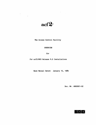

 $\label{eq:2.1} \begin{array}{l} \mathcal{L}_{\text{max}}(\mathcal{L}_{\text{max}}) = \mathcal{L}_{\text{max}}(\mathcal{L}_{\text{max}}) \end{array}$ 

 $\mathcal{O}(\mathcal{A})$  . The  $\mathcal{O}(\mathcal{A})$ 

The Access Control Facility

**OVERVIEW** 

for

for acf2/MVS Release  $4.0$  Installations

Base Manual Dated: January 15, 1985

Doc. Hr. ABGO001-02

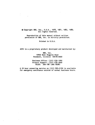@ Copyright SKK, Inc., U.S.A., 1978, 1981, 1982, 1985. All rights reserved.

 $\ddot{\phantom{a}}$ 

 $\label{eq:2.1} \frac{1}{\sqrt{2\pi}}\left(\frac{1}{\sqrt{2\pi}}\right)^{1/2}\frac{1}{\sqrt{2\pi}}\left(\frac{1}{\sqrt{2\pi}}\right)^{1/2}$ 

Reproduction of this manual without written permission of SKI, Inc. is strictly prohibited.

Printed in U.S.A.

ACF2 is a proprietary product developed and maintained by:

SKK, Inc. 10400 West Higgins Road Rosemont, IllInois 60018-9990

Business Office: (312) 635-1040 Product Support: (312) 635-3000 TELEX: 206-186 (SKK ROSH)

A 24 hour answering service on (312) 825-5150 is available for emergency assistance outside of normal business hours.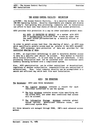Overview

ACF2 - The Access Control Facility MVS Installations

## THE ACCESS CONTROL FACILITY: DEFINITION

acf2/MVS - the Access Control Facility, is a security extension to the IBM MVS Operating System. Security requirements are complex and diverse in today's fast-growing data processing community and no installation can afford to have less than state-of-the-art data access protection.

ACF2 provides this protection In a way no other available product does:

ALL DATA IS PROTECTED BY DEFAULT on a system with ACF2 and is automatically protected from access by other than the owner unless pre-authorized by a security officer or by the owner.

In order to permit access (and thus the sharing of data), an ACF2 rule which specifically permits access must be entered in the ACF2 database.<br>Thus. ACF2 surpasses mere protection of data and provides for the ACF2 surpasses mere protection of data and provides for the controlled sharing of data.

In ACF2, an algorithmic methodology is used to determine whether access to data by a specific user should be allowed. This method is flexible while totally efficient. It is also easy to use and understand. A data processing installation need not be concerned with non-technical users suddenly becoming burdened with a complicated system.

Also, ACF2 administration can be either centralized or decentralized, regardless of whether authorization responsibilities are centralized or decentralized. Thus, total computer security can be accomplished in a smooth and efficient way which best fits each installation.

## ACF2: THE STRUCTURE

The Databases: ACF2 uses three databases:

- The Logonid database contains a record for each individual authorized to use the system.
- The Rule database contains access rules specifying who can access data, and under what conditions that access will be allowed.
- The Information storage database contains global system options, generalized resource rules, and additional system data.

All three datasets are managed through VSAM, IBM's most advanced access nethod.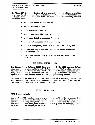ACF2 - The Access Control Facility Overview MVS Installations 

The "Logonid" Record: Fields of the Logonid record establish a profile of a user's identity and his privileges. Thus, an installation can restrict which individuals are able to perform various security-related functions such as:

- \* define new users to the system.
- \* control dataset access.
- \* issue operator commands.
- \* submit jobs from time sharing.
- \* use bypass label processing for tapes.
- \* issue mount requests from time sharing.
- \* use each subsystem, such as T5O, IDMS, IMS, CICS, etc.
- \* use various input devices, such as selected terminals, card readers, etc.
- \* access the system only at a pre-determined time, day, or shift.

## THE GLOBAL SYSTEM OPTIONS

The Global System Options (G5O) distributed with the ACF2 package define most the system-wide options and default values that a site may use. GSO records are stored on the ACF2 Information storage Database where they can be easily modified and dynamically activated to meet the specific needs and access scope of any data processing center.

The sophisticated structure of the Logonid and rule records, as well as the advanced facilities and numerous options of the ACF2 system, distinguish it from any other security package.

# ACF2: THE CONTROLS

#### ACF2 System Controls

Users of an ACF2 system have a Logonid record with which a password is associated. Before performing any further processing, ACF2 irreversibly scrambles (one-way encrypts) the password, ensuring it cannot be deciphered. A non-encrypted password is never placed in storage, listed on a printout, or displayed by ACF2.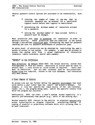| ACF2 - The Access Control Facility | Overview |
|------------------------------------|----------|
| MVS Installations                  |          |
|                                    |          |

Several password control options are available to'an Installation, such as:

- limiting the number of times in one day that an incorrect password can be entered for a particular Logonid record before that Logonid is deactivated.
- \* determining the minimum number of characters allowed for a password.
- \* setting the maximum number of days allowed before <sup>a</sup> password must be changed.

Most production jobs need passwords for submission In order to maintain security. These production jobs are submitted to the system through a pre-defined controlled path, eliminating the need for password checking and thus for password maintenance of production jobs.

An extra level of protection can be obtained by restricting the user's points of access to the system. For example, a user may be allowed to access the system only from a given combination of interactive terminals, remote terminals, and/or card readers.

## "DEFAULT" is the Difference

Data protection by default makes ACF2 the unique security system that distinguishes it from all others. Absolutely no action need be taken to protect data -- only action to allow access is required. Every user must be identified, and all user accesses must be pre-authorized. Access rules are compiled, stored in the rule database, and referenced only when needed.

## A Finer Degree of Control

An access rule set can further define the specific environment that must exist before a user (other than the owner) can access a dataset. For example, a rule can specify the input source of the job (terminal, reader, etc.), the program being used, and/or the specific library from which the program was executed.

Additionally, ACF2 can limit a user's system access capability to a specific pre-determined time period (e.g., shift of the working day).

Another powerful ACF2 feature is the ability to stipulate execute-only access authorization to program libraries, prohibiting reading or copying of powerful or proprietary software while still allowing them to be used (executed).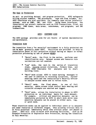ACF2 - The Access Control Facility Overview **MVS** Installations 

## The Goal is Protection

As well as providing dataset and program protection, ACF2 safeguards billing account numbers, TSO procedures, tape and disk volumes, etc. ACF2 interfaces are also available for commonly used online interactive systems, such as IDMS, IMS, and CICS. Using these interfaces, the installation can protect resources such as CICS transactions, files, and programs; IDMS tasks, data areas, sUbschemas, and programs; and IMS transactions.

#### ACF2: CUSTOMER AIDS

The ACF2 package provides aids for all facets of system implementation and maintenance.

# Transition Aids

The transition from a "no security" environment to a fully protected one can be made gradually under ACF2. Facilities are provided to help an installation phase in full protection without having an impact on normal protection processing by use of phased MODES:

- \* "Quiet" mode, the first in the series, performs user identification only. Dataset access and resource rule validations are not enabled.
- "Log" mode, the next in the series of transition steps, records access violations, formats them, and makes them available for analysis and to start building rules.
- \* "Warn" mode allows ACF2 to issue warning messages to the user In addition to recording violations, further enabling users and the installation's Security Officer to analyze access needs and to refine rules.
- \* "Abort" mode, the final phase, is one of full security, where access rules control data sharing and violation attempts are aborted and logged.
- \* "Rule" mode, allows the installation to phase in ACF2 protection on an individual basis for each dataset. For example, critical and sensitive datasets can be immediately protected by ACF2 In abort mode while less sensitive datasets can be placed in either warn, log, or quiet mode.

These transition modes can be applied to individual users or to datasets and other resources at different stages, thus allowing critical data to be fully protected immediately while less critical areas are phased in later. ACF2 will also co-exist with existing facilities, such as OS Password Protection or Expiration Date Protection, during the transition to full security.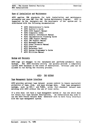|  | MVS Installations |  | ACF2 - The Access Control Facility |  | Overview |
|--|-------------------|--|------------------------------------|--|----------|

# Ease of Installation and Maintenance

ACF2 applies IBM standards for both installation and maintenance procedures and uses SMP (the IBM System Maintenance Program). ACF2 is supported by the designers and the developers of the system and is distributed with the following documentation:

- ACF2 Administrator's Guide
- 
- \* ACF2 Auditor's Guide
- 
- 
- \* ACF2 Composite Index<br>
\* ACF2 General Information Manual<br>
\* ACF2 Implementation Planning Guide<br>
\* ACF2 IDMS Support Manual
- 
- 
- 
- \* ACF2 INS Support Manual \* ACF2 Messages Manual \* ACF2 Other Products Manual \* ACF2 Overview
- 
- 
- \* ACF2 System Programmer's Guide
- ACF2 Utilities Manual

## Backup and Recovery

ACF2 logs all changes to its databases and performs automatic daily backups. The ACF2 recovery utility can quickly provide a completely current ACF2 database In the event of destruction. Critical jobs can be allowed to run during the recovery process.

## ACF2: THE EXTRAS

## Tape Management System Interface

ACF2 provides optional tape dataset access control to insure equivalent protection of tape, disk, and mass storage data. Some tape management systeas, such as UCC-1 and TLNS2, allow full standard dataset name matching with ACF2 without the use of local exits.

If a site does not have a tape management system or has one which does not retain full tape dataset descriptions, an installation may wish to use the ACF2 Pseudo Dataset Name Generator exit to more fully interface with the tape management system.

-------------------------------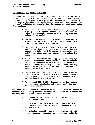## SMF Recording and Report Generators

ACF2 provides complete audit trails and event loggings via the standard system SMF recording facilities. Additionally, ACF2 monitors information and formats the data to provide automatic audit trails. The ACF2 package includes nine daily report generators and various "as required" utilities and reports for formatting and analyzing data. These include:

- The Invalid Password and Authority Usage report highlights each system access (Job submission or Logon/Signon attempt) denied by ACF2, along with the reason for the denial.
- \* The Restricted Logonid Job Log report logs each use of a restricted production Logonid, the job name, the time, and the source of submission.
- \* The Logonid, Rule, and Information Storage Modification Logs show each time a Logonid Record, Access Rule Set, or Information Storage entry was modified and which user was responsible for making the change.
- \* The Dataset Violations and Loggings report displays complete information about attempted invalid dataset accesses or accesses to critical datasets which ACF2 has been instructed to log. Also included are log records for usages of critical programs, and "trace" records for selected users.
- \* The Generalized Resource Violations and Loggings report displays complete information about invalid resource usage or accesses to critical resources which ACF2 has been instructed to log.
- The optional TSO (MVS) Command Record Log report contains usage statistics and command input for each TSO command issued.

ACF2 also provides various utilities which can be used as needed to identify other security-related information of concern to auditors and security administrators. These include:

- \* The Access Index report is an historical log of dataset access rules.
- \* The Dataset Cross Reference report specifies which users have access to which datasets, currently or at previous times.
- \* The Selected Logonid report Is <sup>a</sup> listing of all Logonid records matching any selection criteria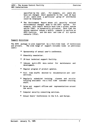ACF2 - The Access Control Facility Overview MVS Installations

- specified by the user. For example, all users who have not changed their passwords in the last 30 days or all users with a particular group of attributes could be displayed.
- The Environment Report shows all security related environmental changes made to the ACF2 system. For example, this report details each time a global system option (G5O) is dynamically activated, each time the system operator issues a modify command to perform an ACF2 function, and the date and time of all system restarts (IPLs).

## support Activities

The ACF2 package is also supported by a full-time team of technicians and writers. The wide range of support includes (some at additional cost):

- Sponsorship of annual user's conference.
- Bimonthly newsletter.
- 24 hour technical support facility.
- \* Inhouse multi-CPU data center for maintenance and development.
- \* Regular program of product updates.
- Full time staffs devoted to documentation and user services.
- \* Regularly scheduled training classes and on-site training available via a full time customer training staff.
- \* Sales and support offices and representatives around the world.
- \* Computer security consulting services.
- \* Annual Users' Conferences in the U.S. and Europe.